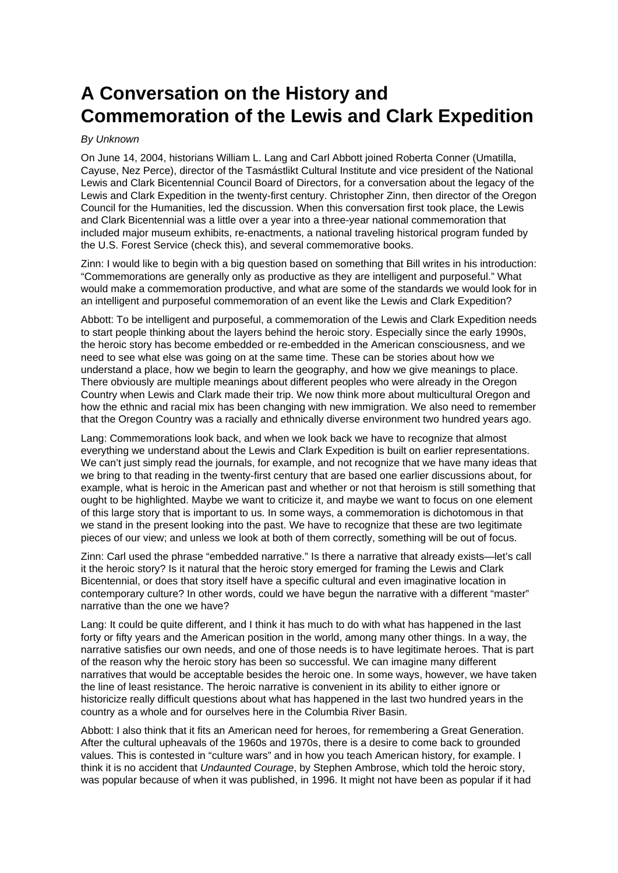## **A Conversation on the History and Commemoration of the Lewis and Clark Expedition**

## By Unknown

On June 14, 2004, historians William L. Lang and Carl Abbott joined Roberta Conner (Umatilla, Cayuse, Nez Perce), director of the Tasmástlikt Cultural Institute and vice president of the National Lewis and Clark Bicentennial Council Board of Directors, for a conversation about the legacy of the Lewis and Clark Expedition in the twenty-first century. Christopher Zinn, then director of the Oregon Council for the Humanities, led the discussion. When this conversation first took place, the Lewis and Clark Bicentennial was a little over a year into a three-year national commemoration that included major museum exhibits, re-enactments, a national traveling historical program funded by the U.S. Forest Service (check this), and several commemorative books.

Zinn: I would like to begin with a big question based on something that Bill writes in his introduction: "Commemorations are generally only as productive as they are intelligent and purposeful." What would make a commemoration productive, and what are some of the standards we would look for in an intelligent and purposeful commemoration of an event like the Lewis and Clark Expedition?

Abbott: To be intelligent and purposeful, a commemoration of the Lewis and Clark Expedition needs to start people thinking about the layers behind the heroic story. Especially since the early 1990s, the heroic story has become embedded or re-embedded in the American consciousness, and we need to see what else was going on at the same time. These can be stories about how we understand a place, how we begin to learn the geography, and how we give meanings to place. There obviously are multiple meanings about different peoples who were already in the Oregon Country when Lewis and Clark made their trip. We now think more about multicultural Oregon and how the ethnic and racial mix has been changing with new immigration. We also need to remember that the Oregon Country was a racially and ethnically diverse environment two hundred years ago.

Lang: Commemorations look back, and when we look back we have to recognize that almost everything we understand about the Lewis and Clark Expedition is built on earlier representations. We can't just simply read the journals, for example, and not recognize that we have many ideas that we bring to that reading in the twenty-first century that are based one earlier discussions about, for example, what is heroic in the American past and whether or not that heroism is still something that ought to be highlighted. Maybe we want to criticize it, and maybe we want to focus on one element of this large story that is important to us. In some ways, a commemoration is dichotomous in that we stand in the present looking into the past. We have to recognize that these are two legitimate pieces of our view; and unless we look at both of them correctly, something will be out of focus.

Zinn: Carl used the phrase "embedded narrative." Is there a narrative that already exists—let's call it the heroic story? Is it natural that the heroic story emerged for framing the Lewis and Clark Bicentennial, or does that story itself have a specific cultural and even imaginative location in contemporary culture? In other words, could we have begun the narrative with a different "master" narrative than the one we have?

Lang: It could be quite different, and I think it has much to do with what has happened in the last forty or fifty years and the American position in the world, among many other things. In a way, the narrative satisfies our own needs, and one of those needs is to have legitimate heroes. That is part of the reason why the heroic story has been so successful. We can imagine many different narratives that would be acceptable besides the heroic one. In some ways, however, we have taken the line of least resistance. The heroic narrative is convenient in its ability to either ignore or historicize really difficult questions about what has happened in the last two hundred years in the country as a whole and for ourselves here in the Columbia River Basin.

Abbott: I also think that it fits an American need for heroes, for remembering a Great Generation. After the cultural upheavals of the 1960s and 1970s, there is a desire to come back to grounded values. This is contested in "culture wars" and in how you teach American history, for example. I think it is no accident that Undaunted Courage, by Stephen Ambrose, which told the heroic story, was popular because of when it was published, in 1996. It might not have been as popular if it had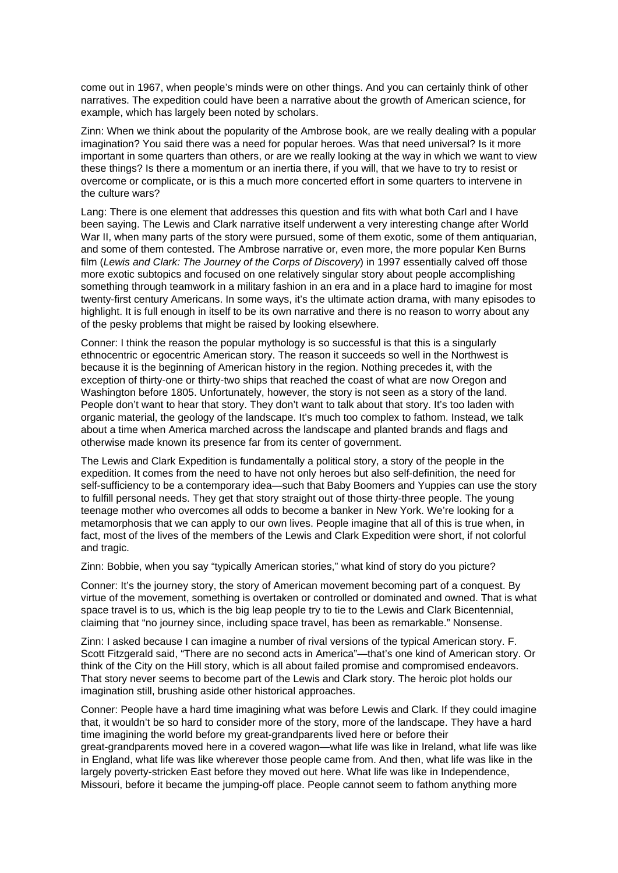come out in 1967, when people's minds were on other things. And you can certainly think of other narratives. The expedition could have been a narrative about the growth of American science, for example, which has largely been noted by scholars.

Zinn: When we think about the popularity of the Ambrose book, are we really dealing with a popular imagination? You said there was a need for popular heroes. Was that need universal? Is it more important in some quarters than others, or are we really looking at the way in which we want to view these things? Is there a momentum or an inertia there, if you will, that we have to try to resist or overcome or complicate, or is this a much more concerted effort in some quarters to intervene in the culture wars?

Lang: There is one element that addresses this question and fits with what both Carl and I have been saying. The Lewis and Clark narrative itself underwent a very interesting change after World War II, when many parts of the story were pursued, some of them exotic, some of them antiquarian, and some of them contested. The Ambrose narrative or, even more, the more popular Ken Burns film (Lewis and Clark: The Journey of the Corps of Discovery) in 1997 essentially calved off those more exotic subtopics and focused on one relatively singular story about people accomplishing something through teamwork in a military fashion in an era and in a place hard to imagine for most twenty-first century Americans. In some ways, it's the ultimate action drama, with many episodes to highlight. It is full enough in itself to be its own narrative and there is no reason to worry about any of the pesky problems that might be raised by looking elsewhere.

Conner: I think the reason the popular mythology is so successful is that this is a singularly ethnocentric or egocentric American story. The reason it succeeds so well in the Northwest is because it is the beginning of American history in the region. Nothing precedes it, with the exception of thirty-one or thirty-two ships that reached the coast of what are now Oregon and Washington before 1805. Unfortunately, however, the story is not seen as a story of the land. People don't want to hear that story. They don't want to talk about that story. It's too laden with organic material, the geology of the landscape. It's much too complex to fathom. Instead, we talk about a time when America marched across the landscape and planted brands and flags and otherwise made known its presence far from its center of government.

The Lewis and Clark Expedition is fundamentally a political story, a story of the people in the expedition. It comes from the need to have not only heroes but also self-definition, the need for self-sufficiency to be a contemporary idea—such that Baby Boomers and Yuppies can use the story to fulfill personal needs. They get that story straight out of those thirty-three people. The young teenage mother who overcomes all odds to become a banker in New York. We're looking for a metamorphosis that we can apply to our own lives. People imagine that all of this is true when, in fact, most of the lives of the members of the Lewis and Clark Expedition were short, if not colorful and tragic.

Zinn: Bobbie, when you say "typically American stories," what kind of story do you picture?

Conner: It's the journey story, the story of American movement becoming part of a conquest. By virtue of the movement, something is overtaken or controlled or dominated and owned. That is what space travel is to us, which is the big leap people try to tie to the Lewis and Clark Bicentennial, claiming that "no journey since, including space travel, has been as remarkable." Nonsense.

Zinn: I asked because I can imagine a number of rival versions of the typical American story. F. Scott Fitzgerald said, "There are no second acts in America"—that's one kind of American story. Or think of the City on the Hill story, which is all about failed promise and compromised endeavors. That story never seems to become part of the Lewis and Clark story. The heroic plot holds our imagination still, brushing aside other historical approaches.

Conner: People have a hard time imagining what was before Lewis and Clark. If they could imagine that, it wouldn't be so hard to consider more of the story, more of the landscape. They have a hard time imagining the world before my great-grandparents lived here or before their great-grandparents moved here in a covered wagon—what life was like in Ireland, what life was like in England, what life was like wherever those people came from. And then, what life was like in the largely poverty-stricken East before they moved out here. What life was like in Independence, Missouri, before it became the jumping-off place. People cannot seem to fathom anything more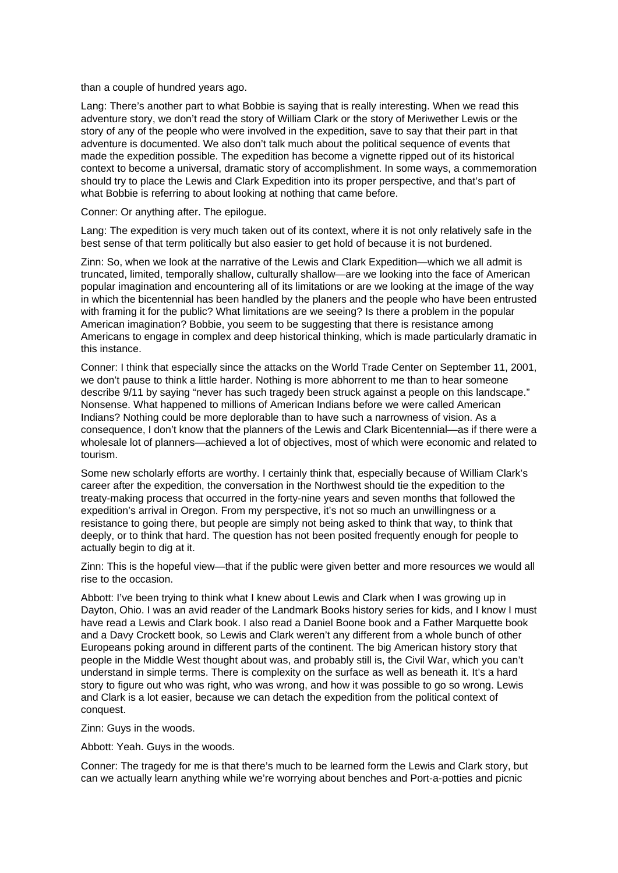than a couple of hundred years ago.

Lang: There's another part to what Bobbie is saying that is really interesting. When we read this adventure story, we don't read the story of William Clark or the story of Meriwether Lewis or the story of any of the people who were involved in the expedition, save to say that their part in that adventure is documented. We also don't talk much about the political sequence of events that made the expedition possible. The expedition has become a vignette ripped out of its historical context to become a universal, dramatic story of accomplishment. In some ways, a commemoration should try to place the Lewis and Clark Expedition into its proper perspective, and that's part of what Bobbie is referring to about looking at nothing that came before.

Conner: Or anything after. The epilogue.

Lang: The expedition is very much taken out of its context, where it is not only relatively safe in the best sense of that term politically but also easier to get hold of because it is not burdened.

Zinn: So, when we look at the narrative of the Lewis and Clark Expedition—which we all admit is truncated, limited, temporally shallow, culturally shallow—are we looking into the face of American popular imagination and encountering all of its limitations or are we looking at the image of the way in which the bicentennial has been handled by the planers and the people who have been entrusted with framing it for the public? What limitations are we seeing? Is there a problem in the popular American imagination? Bobbie, you seem to be suggesting that there is resistance among Americans to engage in complex and deep historical thinking, which is made particularly dramatic in this instance.

Conner: I think that especially since the attacks on the World Trade Center on September 11, 2001, we don't pause to think a little harder. Nothing is more abhorrent to me than to hear someone describe 9/11 by saying "never has such tragedy been struck against a people on this landscape." Nonsense. What happened to millions of American Indians before we were called American Indians? Nothing could be more deplorable than to have such a narrowness of vision. As a consequence, I don't know that the planners of the Lewis and Clark Bicentennial—as if there were a wholesale lot of planners—achieved a lot of objectives, most of which were economic and related to tourism.

Some new scholarly efforts are worthy. I certainly think that, especially because of William Clark's career after the expedition, the conversation in the Northwest should tie the expedition to the treaty-making process that occurred in the forty-nine years and seven months that followed the expedition's arrival in Oregon. From my perspective, it's not so much an unwillingness or a resistance to going there, but people are simply not being asked to think that way, to think that deeply, or to think that hard. The question has not been posited frequently enough for people to actually begin to dig at it.

Zinn: This is the hopeful view—that if the public were given better and more resources we would all rise to the occasion.

Abbott: I've been trying to think what I knew about Lewis and Clark when I was growing up in Dayton, Ohio. I was an avid reader of the Landmark Books history series for kids, and I know I must have read a Lewis and Clark book. I also read a Daniel Boone book and a Father Marquette book and a Davy Crockett book, so Lewis and Clark weren't any different from a whole bunch of other Europeans poking around in different parts of the continent. The big American history story that people in the Middle West thought about was, and probably still is, the Civil War, which you can't understand in simple terms. There is complexity on the surface as well as beneath it. It's a hard story to figure out who was right, who was wrong, and how it was possible to go so wrong. Lewis and Clark is a lot easier, because we can detach the expedition from the political context of conquest.

Zinn: Guys in the woods.

Abbott: Yeah. Guys in the woods.

Conner: The tragedy for me is that there's much to be learned form the Lewis and Clark story, but can we actually learn anything while we're worrying about benches and Port-a-potties and picnic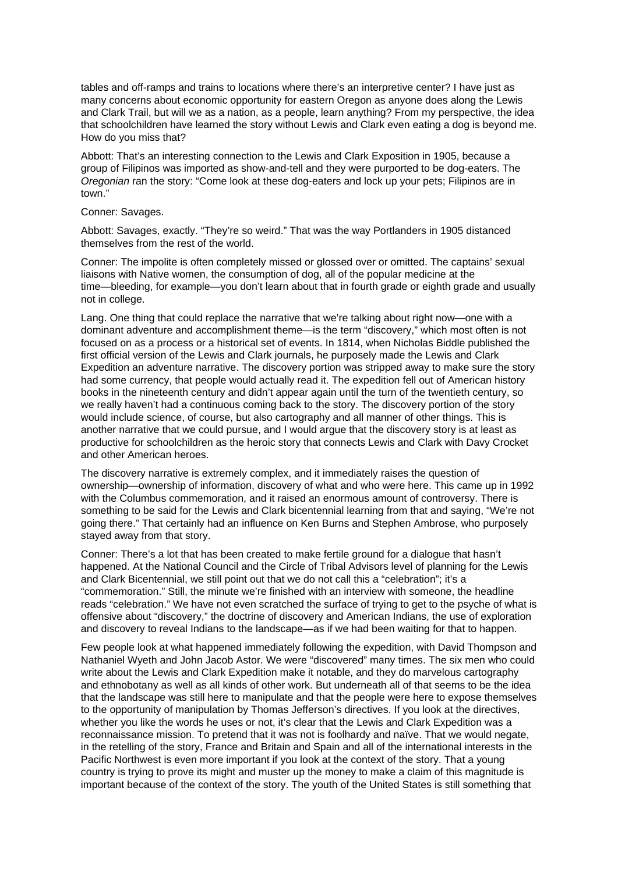tables and off-ramps and trains to locations where there's an interpretive center? I have just as many concerns about economic opportunity for eastern Oregon as anyone does along the Lewis and Clark Trail, but will we as a nation, as a people, learn anything? From my perspective, the idea that schoolchildren have learned the story without Lewis and Clark even eating a dog is beyond me. How do you miss that?

Abbott: That's an interesting connection to the Lewis and Clark Exposition in 1905, because a group of Filipinos was imported as show-and-tell and they were purported to be dog-eaters. The Oregonian ran the story: "Come look at these dog-eaters and lock up your pets; Filipinos are in town."

## Conner: Savages.

Abbott: Savages, exactly. "They're so weird." That was the way Portlanders in 1905 distanced themselves from the rest of the world.

Conner: The impolite is often completely missed or glossed over or omitted. The captains' sexual liaisons with Native women, the consumption of dog, all of the popular medicine at the time—bleeding, for example—you don't learn about that in fourth grade or eighth grade and usually not in college.

Lang. One thing that could replace the narrative that we're talking about right now—one with a dominant adventure and accomplishment theme—is the term "discovery," which most often is not focused on as a process or a historical set of events. In 1814, when Nicholas Biddle published the first official version of the Lewis and Clark journals, he purposely made the Lewis and Clark Expedition an adventure narrative. The discovery portion was stripped away to make sure the story had some currency, that people would actually read it. The expedition fell out of American history books in the nineteenth century and didn't appear again until the turn of the twentieth century, so we really haven't had a continuous coming back to the story. The discovery portion of the story would include science, of course, but also cartography and all manner of other things. This is another narrative that we could pursue, and I would argue that the discovery story is at least as productive for schoolchildren as the heroic story that connects Lewis and Clark with Davy Crocket and other American heroes.

The discovery narrative is extremely complex, and it immediately raises the question of ownership—ownership of information, discovery of what and who were here. This came up in 1992 with the Columbus commemoration, and it raised an enormous amount of controversy. There is something to be said for the Lewis and Clark bicentennial learning from that and saying, "We're not going there." That certainly had an influence on Ken Burns and Stephen Ambrose, who purposely stayed away from that story.

Conner: There's a lot that has been created to make fertile ground for a dialogue that hasn't happened. At the National Council and the Circle of Tribal Advisors level of planning for the Lewis and Clark Bicentennial, we still point out that we do not call this a "celebration"; it's a "commemoration." Still, the minute we're finished with an interview with someone, the headline reads "celebration." We have not even scratched the surface of trying to get to the psyche of what is offensive about "discovery," the doctrine of discovery and American Indians, the use of exploration and discovery to reveal Indians to the landscape—as if we had been waiting for that to happen.

Few people look at what happened immediately following the expedition, with David Thompson and Nathaniel Wyeth and John Jacob Astor. We were "discovered" many times. The six men who could write about the Lewis and Clark Expedition make it notable, and they do marvelous cartography and ethnobotany as well as all kinds of other work. But underneath all of that seems to be the idea that the landscape was still here to manipulate and that the people were here to expose themselves to the opportunity of manipulation by Thomas Jefferson's directives. If you look at the directives, whether you like the words he uses or not, it's clear that the Lewis and Clark Expedition was a reconnaissance mission. To pretend that it was not is foolhardy and naïve. That we would negate, in the retelling of the story, France and Britain and Spain and all of the international interests in the Pacific Northwest is even more important if you look at the context of the story. That a young country is trying to prove its might and muster up the money to make a claim of this magnitude is important because of the context of the story. The youth of the United States is still something that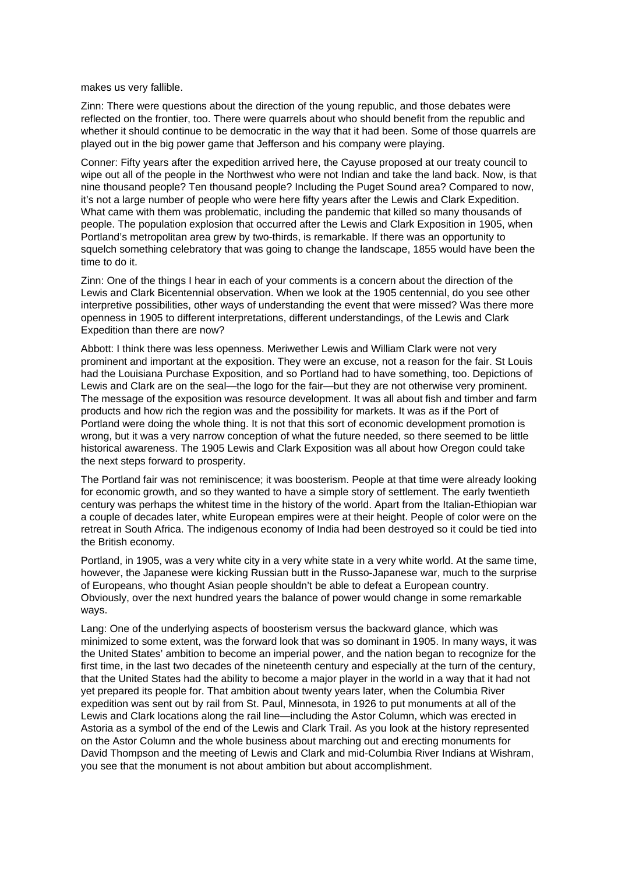makes us very fallible.

Zinn: There were questions about the direction of the young republic, and those debates were reflected on the frontier, too. There were quarrels about who should benefit from the republic and whether it should continue to be democratic in the way that it had been. Some of those quarrels are played out in the big power game that Jefferson and his company were playing.

Conner: Fifty years after the expedition arrived here, the Cayuse proposed at our treaty council to wipe out all of the people in the Northwest who were not Indian and take the land back. Now, is that nine thousand people? Ten thousand people? Including the Puget Sound area? Compared to now, it's not a large number of people who were here fifty years after the Lewis and Clark Expedition. What came with them was problematic, including the pandemic that killed so many thousands of people. The population explosion that occurred after the Lewis and Clark Exposition in 1905, when Portland's metropolitan area grew by two-thirds, is remarkable. If there was an opportunity to squelch something celebratory that was going to change the landscape, 1855 would have been the time to do it.

Zinn: One of the things I hear in each of your comments is a concern about the direction of the Lewis and Clark Bicentennial observation. When we look at the 1905 centennial, do you see other interpretive possibilities, other ways of understanding the event that were missed? Was there more openness in 1905 to different interpretations, different understandings, of the Lewis and Clark Expedition than there are now?

Abbott: I think there was less openness. Meriwether Lewis and William Clark were not very prominent and important at the exposition. They were an excuse, not a reason for the fair. St Louis had the Louisiana Purchase Exposition, and so Portland had to have something, too. Depictions of Lewis and Clark are on the seal—the logo for the fair—but they are not otherwise very prominent. The message of the exposition was resource development. It was all about fish and timber and farm products and how rich the region was and the possibility for markets. It was as if the Port of Portland were doing the whole thing. It is not that this sort of economic development promotion is wrong, but it was a very narrow conception of what the future needed, so there seemed to be little historical awareness. The 1905 Lewis and Clark Exposition was all about how Oregon could take the next steps forward to prosperity.

The Portland fair was not reminiscence; it was boosterism. People at that time were already looking for economic growth, and so they wanted to have a simple story of settlement. The early twentieth century was perhaps the whitest time in the history of the world. Apart from the Italian-Ethiopian war a couple of decades later, white European empires were at their height. People of color were on the retreat in South Africa. The indigenous economy of India had been destroyed so it could be tied into the British economy.

Portland, in 1905, was a very white city in a very white state in a very white world. At the same time, however, the Japanese were kicking Russian butt in the Russo-Japanese war, much to the surprise of Europeans, who thought Asian people shouldn't be able to defeat a European country. Obviously, over the next hundred years the balance of power would change in some remarkable ways.

Lang: One of the underlying aspects of boosterism versus the backward glance, which was minimized to some extent, was the forward look that was so dominant in 1905. In many ways, it was the United States' ambition to become an imperial power, and the nation began to recognize for the first time, in the last two decades of the nineteenth century and especially at the turn of the century, that the United States had the ability to become a major player in the world in a way that it had not yet prepared its people for. That ambition about twenty years later, when the Columbia River expedition was sent out by rail from St. Paul, Minnesota, in 1926 to put monuments at all of the Lewis and Clark locations along the rail line—including the Astor Column, which was erected in Astoria as a symbol of the end of the Lewis and Clark Trail. As you look at the history represented on the Astor Column and the whole business about marching out and erecting monuments for David Thompson and the meeting of Lewis and Clark and mid-Columbia River Indians at Wishram, you see that the monument is not about ambition but about accomplishment.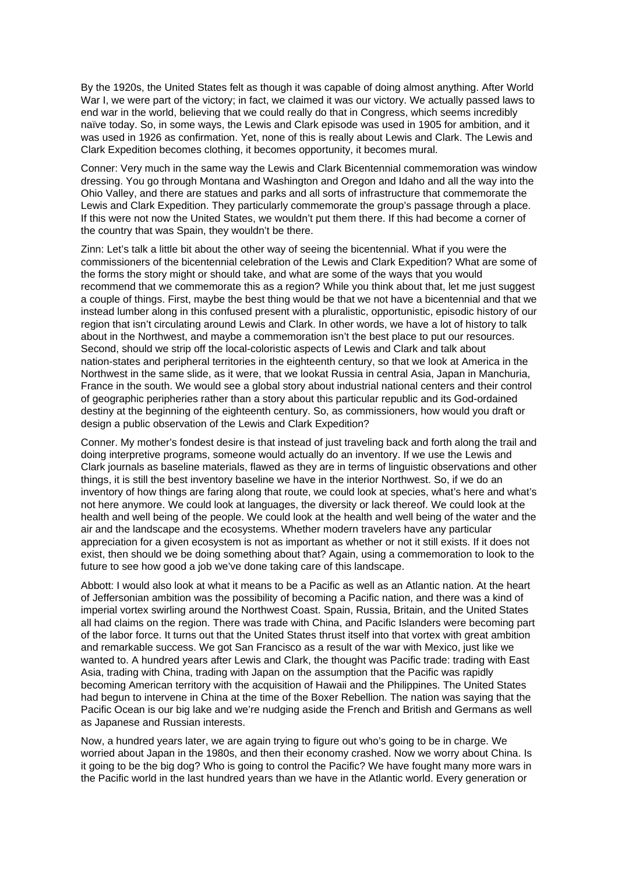By the 1920s, the United States felt as though it was capable of doing almost anything. After World War I, we were part of the victory; in fact, we claimed it was our victory. We actually passed laws to end war in the world, believing that we could really do that in Congress, which seems incredibly naïve today. So, in some ways, the Lewis and Clark episode was used in 1905 for ambition, and it was used in 1926 as confirmation. Yet, none of this is really about Lewis and Clark. The Lewis and Clark Expedition becomes clothing, it becomes opportunity, it becomes mural.

Conner: Very much in the same way the Lewis and Clark Bicentennial commemoration was window dressing. You go through Montana and Washington and Oregon and Idaho and all the way into the Ohio Valley, and there are statues and parks and all sorts of infrastructure that commemorate the Lewis and Clark Expedition. They particularly commemorate the group's passage through a place. If this were not now the United States, we wouldn't put them there. If this had become a corner of the country that was Spain, they wouldn't be there.

Zinn: Let's talk a little bit about the other way of seeing the bicentennial. What if you were the commissioners of the bicentennial celebration of the Lewis and Clark Expedition? What are some of the forms the story might or should take, and what are some of the ways that you would recommend that we commemorate this as a region? While you think about that, let me just suggest a couple of things. First, maybe the best thing would be that we not have a bicentennial and that we instead lumber along in this confused present with a pluralistic, opportunistic, episodic history of our region that isn't circulating around Lewis and Clark. In other words, we have a lot of history to talk about in the Northwest, and maybe a commemoration isn't the best place to put our resources. Second, should we strip off the local-coloristic aspects of Lewis and Clark and talk about nation-states and peripheral territories in the eighteenth century, so that we look at America in the Northwest in the same slide, as it were, that we lookat Russia in central Asia, Japan in Manchuria, France in the south. We would see a global story about industrial national centers and their control of geographic peripheries rather than a story about this particular republic and its God-ordained destiny at the beginning of the eighteenth century. So, as commissioners, how would you draft or design a public observation of the Lewis and Clark Expedition?

Conner. My mother's fondest desire is that instead of just traveling back and forth along the trail and doing interpretive programs, someone would actually do an inventory. If we use the Lewis and Clark journals as baseline materials, flawed as they are in terms of linguistic observations and other things, it is still the best inventory baseline we have in the interior Northwest. So, if we do an inventory of how things are faring along that route, we could look at species, what's here and what's not here anymore. We could look at languages, the diversity or lack thereof. We could look at the health and well being of the people. We could look at the health and well being of the water and the air and the landscape and the ecosystems. Whether modern travelers have any particular appreciation for a given ecosystem is not as important as whether or not it still exists. If it does not exist, then should we be doing something about that? Again, using a commemoration to look to the future to see how good a job we've done taking care of this landscape.

Abbott: I would also look at what it means to be a Pacific as well as an Atlantic nation. At the heart of Jeffersonian ambition was the possibility of becoming a Pacific nation, and there was a kind of imperial vortex swirling around the Northwest Coast. Spain, Russia, Britain, and the United States all had claims on the region. There was trade with China, and Pacific Islanders were becoming part of the labor force. It turns out that the United States thrust itself into that vortex with great ambition and remarkable success. We got San Francisco as a result of the war with Mexico, just like we wanted to. A hundred years after Lewis and Clark, the thought was Pacific trade: trading with East Asia, trading with China, trading with Japan on the assumption that the Pacific was rapidly becoming American territory with the acquisition of Hawaii and the Philippines. The United States had begun to intervene in China at the time of the Boxer Rebellion. The nation was saying that the Pacific Ocean is our big lake and we're nudging aside the French and British and Germans as well as Japanese and Russian interests.

Now, a hundred years later, we are again trying to figure out who's going to be in charge. We worried about Japan in the 1980s, and then their economy crashed. Now we worry about China. Is it going to be the big dog? Who is going to control the Pacific? We have fought many more wars in the Pacific world in the last hundred years than we have in the Atlantic world. Every generation or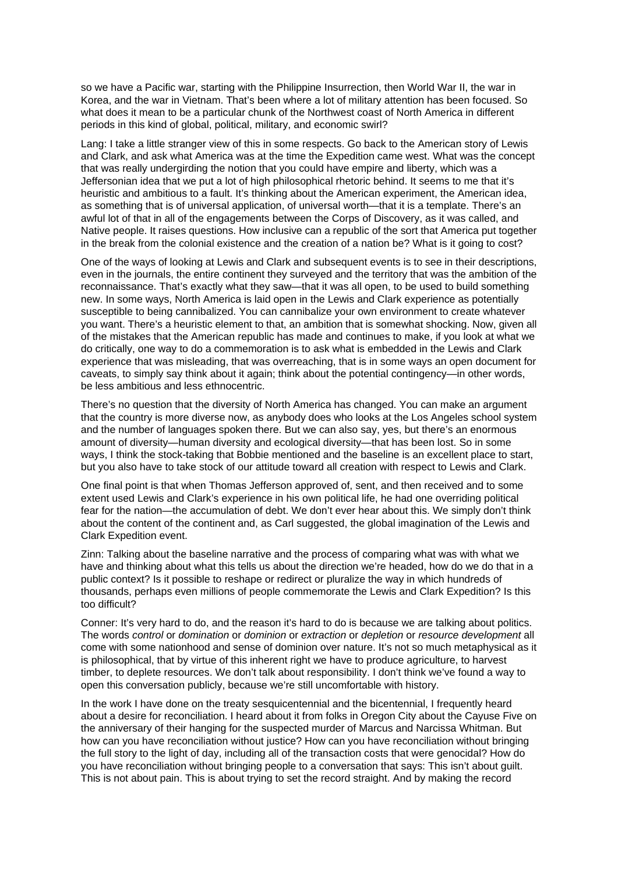so we have a Pacific war, starting with the Philippine Insurrection, then World War II, the war in Korea, and the war in Vietnam. That's been where a lot of military attention has been focused. So what does it mean to be a particular chunk of the Northwest coast of North America in different periods in this kind of global, political, military, and economic swirl?

Lang: I take a little stranger view of this in some respects. Go back to the American story of Lewis and Clark, and ask what America was at the time the Expedition came west. What was the concept that was really undergirding the notion that you could have empire and liberty, which was a Jeffersonian idea that we put a lot of high philosophical rhetoric behind. It seems to me that it's heuristic and ambitious to a fault. It's thinking about the American experiment, the American idea, as something that is of universal application, of universal worth—that it is a template. There's an awful lot of that in all of the engagements between the Corps of Discovery, as it was called, and Native people. It raises questions. How inclusive can a republic of the sort that America put together in the break from the colonial existence and the creation of a nation be? What is it going to cost?

One of the ways of looking at Lewis and Clark and subsequent events is to see in their descriptions, even in the journals, the entire continent they surveyed and the territory that was the ambition of the reconnaissance. That's exactly what they saw—that it was all open, to be used to build something new. In some ways, North America is laid open in the Lewis and Clark experience as potentially susceptible to being cannibalized. You can cannibalize your own environment to create whatever you want. There's a heuristic element to that, an ambition that is somewhat shocking. Now, given all of the mistakes that the American republic has made and continues to make, if you look at what we do critically, one way to do a commemoration is to ask what is embedded in the Lewis and Clark experience that was misleading, that was overreaching, that is in some ways an open document for caveats, to simply say think about it again; think about the potential contingency—in other words, be less ambitious and less ethnocentric.

There's no question that the diversity of North America has changed. You can make an argument that the country is more diverse now, as anybody does who looks at the Los Angeles school system and the number of languages spoken there. But we can also say, yes, but there's an enormous amount of diversity—human diversity and ecological diversity—that has been lost. So in some ways, I think the stock-taking that Bobbie mentioned and the baseline is an excellent place to start, but you also have to take stock of our attitude toward all creation with respect to Lewis and Clark.

One final point is that when Thomas Jefferson approved of, sent, and then received and to some extent used Lewis and Clark's experience in his own political life, he had one overriding political fear for the nation—the accumulation of debt. We don't ever hear about this. We simply don't think about the content of the continent and, as Carl suggested, the global imagination of the Lewis and Clark Expedition event.

Zinn: Talking about the baseline narrative and the process of comparing what was with what we have and thinking about what this tells us about the direction we're headed, how do we do that in a public context? Is it possible to reshape or redirect or pluralize the way in which hundreds of thousands, perhaps even millions of people commemorate the Lewis and Clark Expedition? Is this too difficult?

Conner: It's very hard to do, and the reason it's hard to do is because we are talking about politics. The words control or domination or dominion or extraction or depletion or resource development all come with some nationhood and sense of dominion over nature. It's not so much metaphysical as it is philosophical, that by virtue of this inherent right we have to produce agriculture, to harvest timber, to deplete resources. We don't talk about responsibility. I don't think we've found a way to open this conversation publicly, because we're still uncomfortable with history.

In the work I have done on the treaty sesquicentennial and the bicentennial, I frequently heard about a desire for reconciliation. I heard about it from folks in Oregon City about the Cayuse Five on the anniversary of their hanging for the suspected murder of Marcus and Narcissa Whitman. But how can you have reconciliation without justice? How can you have reconciliation without bringing the full story to the light of day, including all of the transaction costs that were genocidal? How do you have reconciliation without bringing people to a conversation that says: This isn't about guilt. This is not about pain. This is about trying to set the record straight. And by making the record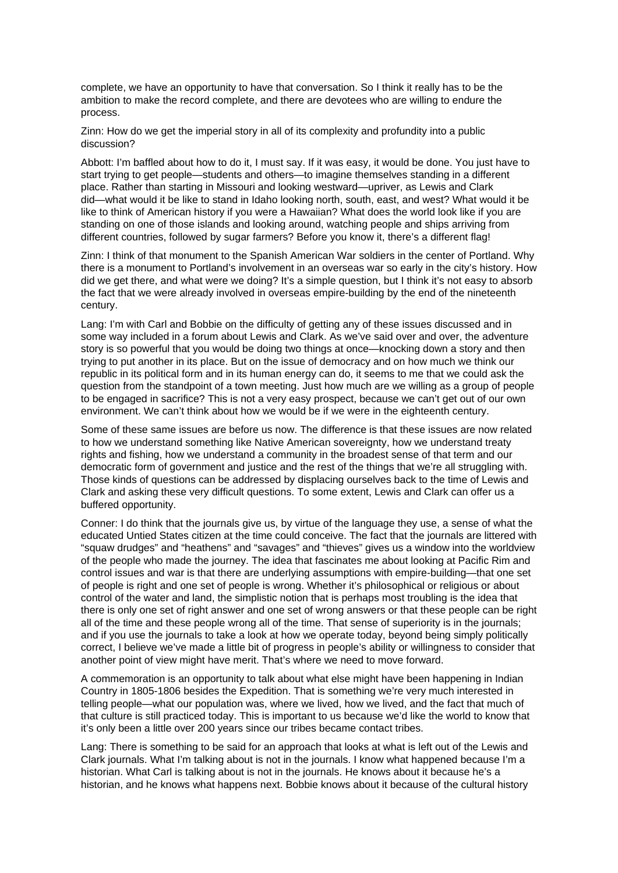complete, we have an opportunity to have that conversation. So I think it really has to be the ambition to make the record complete, and there are devotees who are willing to endure the process.

Zinn: How do we get the imperial story in all of its complexity and profundity into a public discussion?

Abbott: I'm baffled about how to do it, I must say. If it was easy, it would be done. You just have to start trying to get people—students and others—to imagine themselves standing in a different place. Rather than starting in Missouri and looking westward—upriver, as Lewis and Clark did—what would it be like to stand in Idaho looking north, south, east, and west? What would it be like to think of American history if you were a Hawaiian? What does the world look like if you are standing on one of those islands and looking around, watching people and ships arriving from different countries, followed by sugar farmers? Before you know it, there's a different flag!

Zinn: I think of that monument to the Spanish American War soldiers in the center of Portland. Why there is a monument to Portland's involvement in an overseas war so early in the city's history. How did we get there, and what were we doing? It's a simple question, but I think it's not easy to absorb the fact that we were already involved in overseas empire-building by the end of the nineteenth century.

Lang: I'm with Carl and Bobbie on the difficulty of getting any of these issues discussed and in some way included in a forum about Lewis and Clark. As we've said over and over, the adventure story is so powerful that you would be doing two things at once—knocking down a story and then trying to put another in its place. But on the issue of democracy and on how much we think our republic in its political form and in its human energy can do, it seems to me that we could ask the question from the standpoint of a town meeting. Just how much are we willing as a group of people to be engaged in sacrifice? This is not a very easy prospect, because we can't get out of our own environment. We can't think about how we would be if we were in the eighteenth century.

Some of these same issues are before us now. The difference is that these issues are now related to how we understand something like Native American sovereignty, how we understand treaty rights and fishing, how we understand a community in the broadest sense of that term and our democratic form of government and justice and the rest of the things that we're all struggling with. Those kinds of questions can be addressed by displacing ourselves back to the time of Lewis and Clark and asking these very difficult questions. To some extent, Lewis and Clark can offer us a buffered opportunity.

Conner: I do think that the journals give us, by virtue of the language they use, a sense of what the educated Untied States citizen at the time could conceive. The fact that the journals are littered with "squaw drudges" and "heathens" and "savages" and "thieves" gives us a window into the worldview of the people who made the journey. The idea that fascinates me about looking at Pacific Rim and control issues and war is that there are underlying assumptions with empire-building—that one set of people is right and one set of people is wrong. Whether it's philosophical or religious or about control of the water and land, the simplistic notion that is perhaps most troubling is the idea that there is only one set of right answer and one set of wrong answers or that these people can be right all of the time and these people wrong all of the time. That sense of superiority is in the journals; and if you use the journals to take a look at how we operate today, beyond being simply politically correct, I believe we've made a little bit of progress in people's ability or willingness to consider that another point of view might have merit. That's where we need to move forward.

A commemoration is an opportunity to talk about what else might have been happening in Indian Country in 1805-1806 besides the Expedition. That is something we're very much interested in telling people—what our population was, where we lived, how we lived, and the fact that much of that culture is still practiced today. This is important to us because we'd like the world to know that it's only been a little over 200 years since our tribes became contact tribes.

Lang: There is something to be said for an approach that looks at what is left out of the Lewis and Clark journals. What I'm talking about is not in the journals. I know what happened because I'm a historian. What Carl is talking about is not in the journals. He knows about it because he's a historian, and he knows what happens next. Bobbie knows about it because of the cultural history